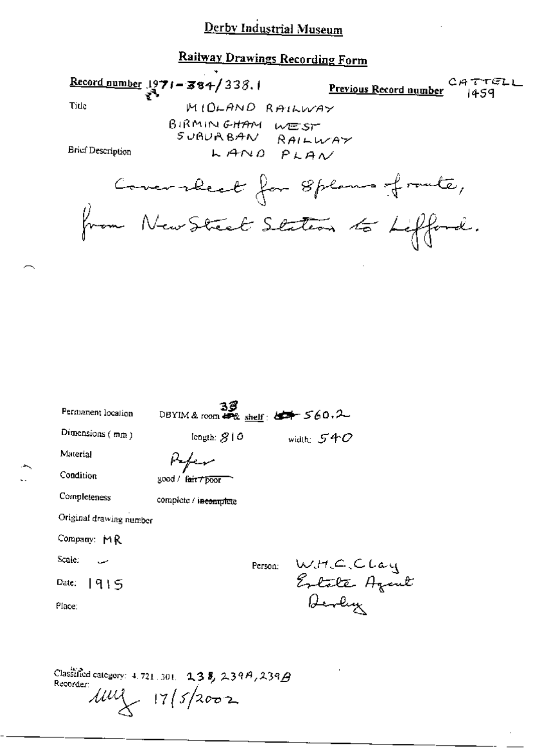### **Railway Drawings Recording Form**

Record number  $1971 - 384/338.1$ CATTELL Previous Record number 1459 MIDLAND RAILWAY Title BIRMINGHAM WEST SUBURBAN RAILWAY **Brief Description** LAND PLAN Comerabeat for 8 plans fronte, from New Street Staten to Lifford.  $39$ <br>DBYIM & room  $47\%$  shelf:  $47/560.2$ Permanent location Dimensions  $(mn)$ length:  $$10$ width:  $540$ Material

Kefer Condition good / fair 7 poor Completeness complete / incomplete Original drawing number Company: MR Scale: W.H.C.Clay<br>Estate Azent<br>Ocoly Person: Date: 1915 Place:

Classified category:  $4.721.301$ .  $238.239A.239B$ Recorder:  $111\frac{1}{11}$   $17/5/2002$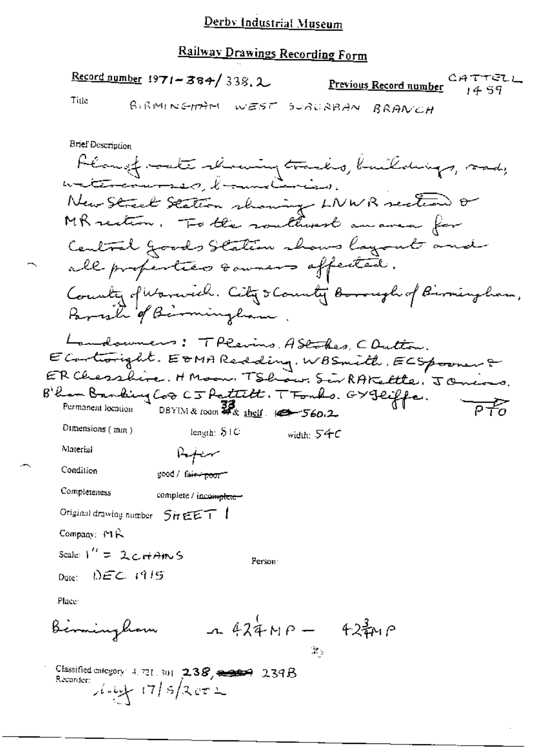## Railway Drawings Recording Form

Record number 1971-384/338.2 CATTELL Previous Record number 14 59 Title BIRMINGHAM WEST SURURBAN BRANCH **Brief Description** Planet-oute slowing tracks, buildings, sad,<br>watercourses, bannelinies. New Street Station showing LNWR section or MR rection. To the routhwest au area for Central goods Station shows layout and all properties soumers affected. County of Warwich. City & County Borough of Birmingham, Parish of Bermingham Landowners: TPleins AStakes, COutton. E Controright. EDMA Redding, WBSmith, ECSpooner & ER Chesshire. HMoon. TShow. SirRAKettle. JOniors Blan Banking Cos CJ Pattitt. TFonks. GYJeiffe. Permanent location DBY(M & room  $\frac{33}{4}$ & shelf  $\frac{1}{260.2}$  $\overline{P}$   $\overline{P}$ Dimensions (min) length:  $S/C$ width: 54C Material سهبهلها Condition good / fair / poor" Completeness complete / incomplete-Original drawing number 5HEET ! Company:  $M\mathcal{R}$ Scale:  $1'' = 2c + A$ in S Person  $_{\text{Date}}$  DEC 1915 Place  $-424MP - 424MP$ Berminghom

3.

Classified category: 4, 721, 301  $\left[ 2.38, \frac{2.38}{2.346} \right]$  2.39 $\beta$ Recorder  $\int_0^1 \frac{1}{2} \, dx = \frac{1}{2} \int_0^1 17 \, dx = \frac{1}{2}$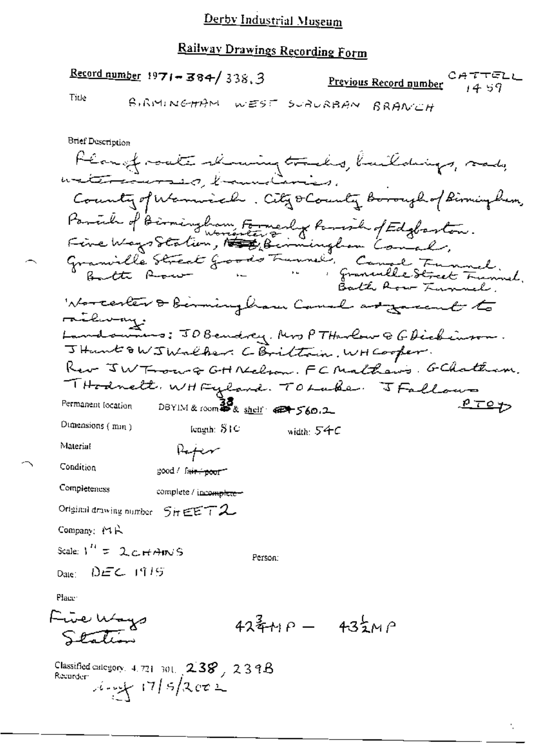# Railway Drawings Recording Form

Record number  $1971 - 384 / 338.3$ CATTELL Previous Record number  $14.59$ 

Title

BIRMINGHAM WEST SURURBAN BRANCH

**Brief Description** Planfract showing tracks, buildings, rad,<br>watersomers hammalaries. County of Warnical . City o County Borough of Birmingham. Parish of Birmingham Formerly Remoin of Edgborton.<br>Five Ways Station, 1998, Birmingham Comal, Granville Street Goods Funnel, Canal Funnel.<br>Butte Row - " " " Granville Street Funnel. Worcester & berming have Canal argument to railway. Landounnes: JOBendrey, Mrs PTHarlow & GDickinson. JHunt & W J Walker. C Brittain, WH Cooper. Rev JW Troug GHNelson. FC Malhaws. GChatham. THodnett, WHFyland. TOLake. JFallows  $PTOY$ DBYIM & room 30 shelf 42+560.2 Permanent focation Dimensions (mm) fength: STC width:  $54C$ Material  $R_{\rm eff}$ Condition good / fa<del>ir / poor</del> 1 Completeness complete / incomplete-Original drawing number  $5$ ir  $\epsilon$  $\epsilon$   $72$ Company: MR Scale:  $V'' = 2cH$   $\forall$  MNS Person: Date:  $DEC$  1915 Place: Five Ways  $42\frac{2}{3} + P - 43\frac{1}{2}MP$ 

Classified category,  $4.721 - 301$ ,  $2.38$ ,  $2.39B$ Recorder  $\frac{1}{2}$  17/5/2002

Station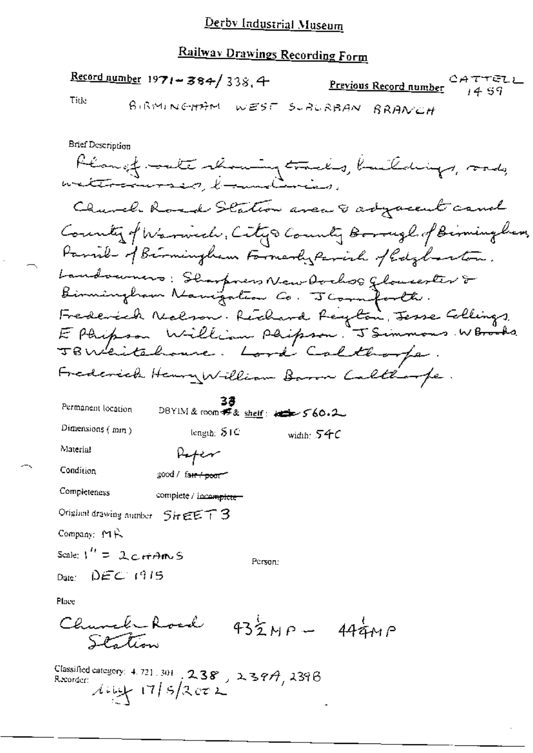#### Railway Deam:  $\ddot{\phantom{a}}$

| <b>Rativav Orawings Recording Form</b>                                                                                                                                                |
|---------------------------------------------------------------------------------------------------------------------------------------------------------------------------------------|
| Record number $1971 - 384 / 338.4$<br>CATTELL<br>Previous Record number 14 59<br>Title<br>BiRMINGH <del>A</del> M<br>WESE SURURBAN<br>BRANCH                                          |
| Brief Description<br>Klangf. sate showing tracks, buildings, rad,<br>weterscarses, boundaries.                                                                                        |
| Church Road Station avec 8 adjacent cand<br>County of Warwell, City & County Borough of Birmingham,<br>Parish of Birmingham Farmerly Parish of Edgebarton.                            |
| Landowners: Sharpners New Oorhog Glousester &<br>Fredereck Neclson. Rechard Reyton, Jesse Collings.<br>E Phipson William Phipson. J Simmons W Brooks<br>TBWhitehouse. Lord Caltborpe. |
| Frederick Henry William Baron Calthorpe.<br>Permanent location<br>DBYIM&room 邦& <u>sheif</u> : http://60.2<br>Dimensions (mm)<br>lengin: $S1C$<br>width: 54C                          |
| Material<br>Rofer<br>Condition<br>good / fa <del>ir / peor</del><br>Completeness<br>complete / incomplete-                                                                            |
| Original drawing number SireET3<br>Company: MR<br>Scale: $1'' = 2c$ rt $AnsS$<br>Person:<br>Date: $DEC$ (915)                                                                         |
|                                                                                                                                                                                       |

Place

 $\bar{z}$ 

Classified category: 4.721.301 238, 239A, 239B<br>Recorder:<br> $A \cup \bigcup_{i=1}^{n} 17/5/2$  CT2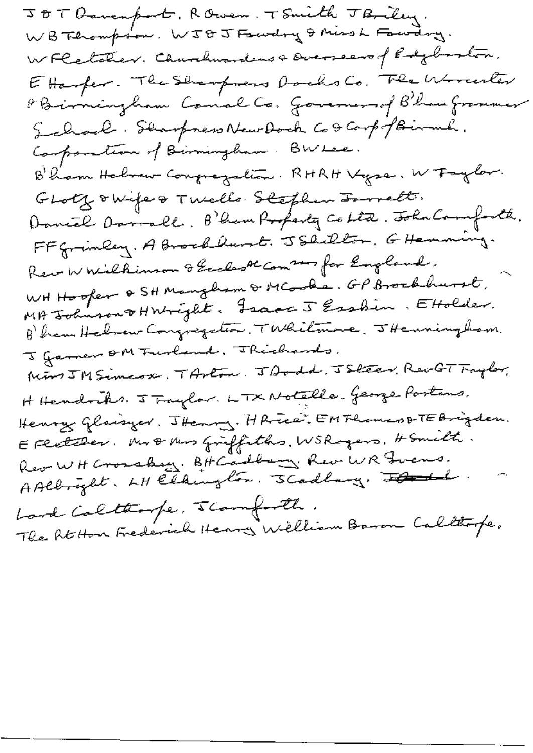JOT Bavenport, ROwen, TSmith JB, Eey.<br>WB Thompson, WJOJ Fawdry & Miss L Fawdry. WFCetcher. Charchaouse Docoseus of Edglaston. Ettanfer. The Sharpmens Darchs Co. The Worcester & Birmingham Conal Co. Governors of B'hau from mer School. Starpress New Dock Co torp of Birmh. Composition of Birmingham. BWLee. B'ham Hebrew Congregation. RHRH Vyse. W Faylor. GLotz owife & Twells Stephen Innett. Daniel Darrall. B'han Profesty Cohta. John Camforth. FF Grinley. A Brockland. JShilton, GHemming. Rew W Wilkimson & Grahash Com 2000 for England. WHHooper & SH Mangham & MCooke. GP Brookhurst. MA Johnson THright. Frace 5 Essbin. EHolder. B'ham Haben Congregation, TWhitmore, JHenningham. I famen om Furland. Thickends. Mins JM Simeox, TArton, JDodd, JSleev, Rev-GT Traylor, H Hendriks. J Traylor. LTX Notelle- George Partons. Henry Glaisyer. Thenry. HR-ree: EMFhomes & TEBrigden. EFRetcher. Mr & Mus Griffiths. WSR gers, Homelt. Rev WH Crossbey. BH Cadbery. Rev WR Grens.<br>A Albright. LH Eldington. SCadbary. Flanch. Land Caltarpe, scamforth. The Atthon Frederich Henry Welliam Baron Calltope.